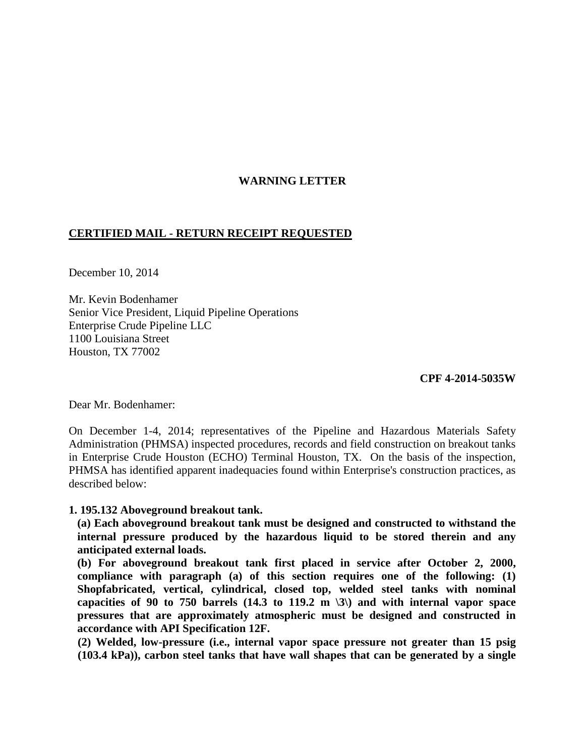### **WARNING LETTER**

### **CERTIFIED MAIL - RETURN RECEIPT REQUESTED**

December 10, 2014

Mr. Kevin Bodenhamer Senior Vice President, Liquid Pipeline Operations Enterprise Crude Pipeline LLC 1100 Louisiana Street Houston, TX 77002

**CPF 4-2014-5035W** 

Dear Mr. Bodenhamer:

On December 1-4, 2014; representatives of the Pipeline and Hazardous Materials Safety Administration (PHMSA) inspected procedures, records and field construction on breakout tanks in Enterprise Crude Houston (ECHO) Terminal Houston, TX. On the basis of the inspection, PHMSA has identified apparent inadequacies found within Enterprise's construction practices, as described below:

#### **1. 195.132 Aboveground breakout tank.**

**(a) Each aboveground breakout tank must be designed and constructed to withstand the internal pressure produced by the hazardous liquid to be stored therein and any anticipated external loads.** 

**(b) For aboveground breakout tank first placed in service after October 2, 2000, compliance with paragraph (a) of this section requires one of the following: (1) Shopfabricated, vertical, cylindrical, closed top, welded steel tanks with nominal capacities of 90 to 750 barrels (14.3 to 119.2 m \3\) and with internal vapor space pressures that are approximately atmospheric must be designed and constructed in accordance with API Specification 12F.** 

**(2) Welded, low-pressure (i.e., internal vapor space pressure not greater than 15 psig (103.4 kPa)), carbon steel tanks that have wall shapes that can be generated by a single**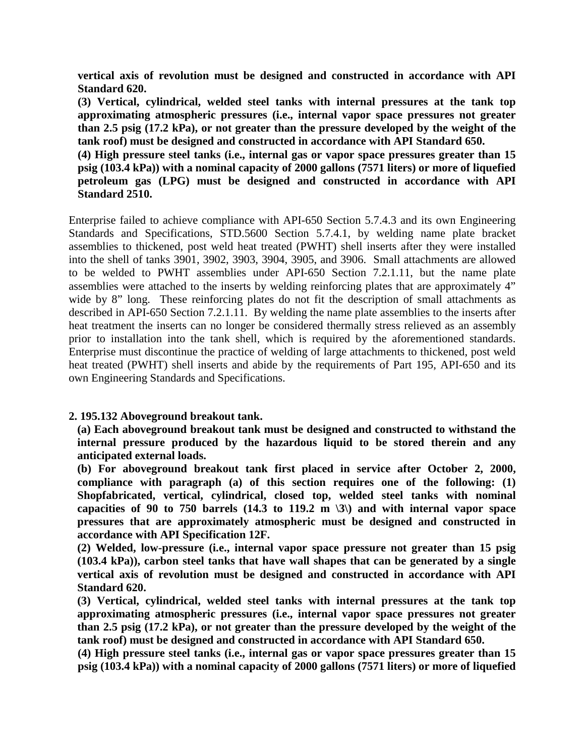**vertical axis of revolution must be designed and constructed in accordance with API Standard 620.** 

**(3) Vertical, cylindrical, welded steel tanks with internal pressures at the tank top approximating atmospheric pressures (i.e., internal vapor space pressures not greater than 2.5 psig (17.2 kPa), or not greater than the pressure developed by the weight of the tank roof) must be designed and constructed in accordance with API Standard 650.**

**(4) High pressure steel tanks (i.e., internal gas or vapor space pressures greater than 15 psig (103.4 kPa)) with a nominal capacity of 2000 gallons (7571 liters) or more of liquefied petroleum gas (LPG) must be designed and constructed in accordance with API Standard 2510.** 

Enterprise failed to achieve compliance with API-650 Section 5.7.4.3 and its own Engineering Standards and Specifications, STD.5600 Section 5.7.4.1, by welding name plate bracket assemblies to thickened, post weld heat treated (PWHT) shell inserts after they were installed into the shell of tanks 3901, 3902, 3903, 3904, 3905, and 3906. Small attachments are allowed to be welded to PWHT assemblies under API-650 Section 7.2.1.11, but the name plate assemblies were attached to the inserts by welding reinforcing plates that are approximately 4" wide by 8" long. These reinforcing plates do not fit the description of small attachments as described in API-650 Section 7.2.1.11. By welding the name plate assemblies to the inserts after heat treatment the inserts can no longer be considered thermally stress relieved as an assembly prior to installation into the tank shell, which is required by the aforementioned standards. Enterprise must discontinue the practice of welding of large attachments to thickened, post weld heat treated (PWHT) shell inserts and abide by the requirements of Part 195, API-650 and its own Engineering Standards and Specifications.

## **2. 195.132 Aboveground breakout tank.**

**(a) Each aboveground breakout tank must be designed and constructed to withstand the internal pressure produced by the hazardous liquid to be stored therein and any anticipated external loads.** 

**(b) For aboveground breakout tank first placed in service after October 2, 2000, compliance with paragraph (a) of this section requires one of the following: (1) Shopfabricated, vertical, cylindrical, closed top, welded steel tanks with nominal capacities of 90 to 750 barrels (14.3 to 119.2 m \3\) and with internal vapor space pressures that are approximately atmospheric must be designed and constructed in accordance with API Specification 12F.** 

**(2) Welded, low-pressure (i.e., internal vapor space pressure not greater than 15 psig (103.4 kPa)), carbon steel tanks that have wall shapes that can be generated by a single vertical axis of revolution must be designed and constructed in accordance with API Standard 620.** 

**(3) Vertical, cylindrical, welded steel tanks with internal pressures at the tank top approximating atmospheric pressures (i.e., internal vapor space pressures not greater than 2.5 psig (17.2 kPa), or not greater than the pressure developed by the weight of the tank roof) must be designed and constructed in accordance with API Standard 650.** 

**(4) High pressure steel tanks (i.e., internal gas or vapor space pressures greater than 15 psig (103.4 kPa)) with a nominal capacity of 2000 gallons (7571 liters) or more of liquefied**